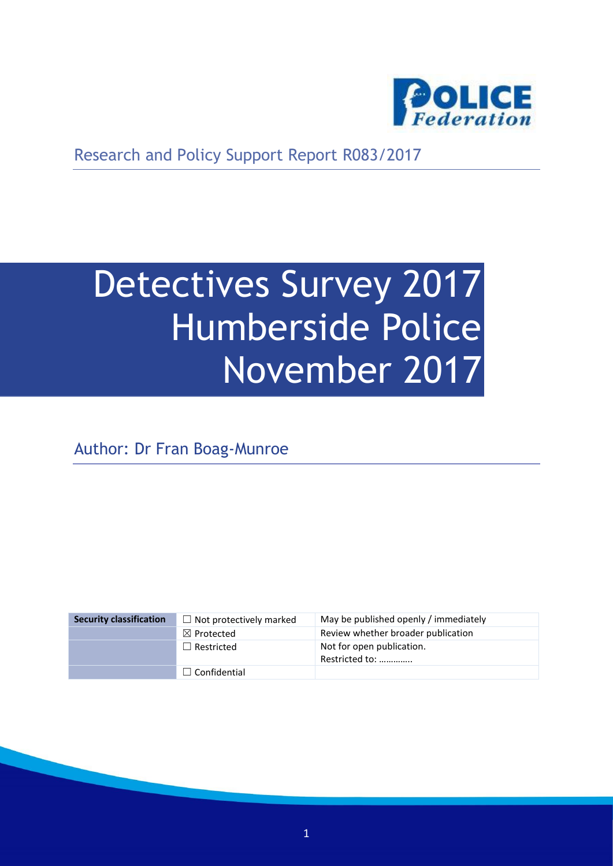

Research and Policy Support Report R083/2017

# Detectives Survey 2017 Humberside Police November 2017

Author: Dr Fran Boag-Munroe

| <b>Security classification</b> | $\Box$ Not protectively marked | May be published openly / immediately       |
|--------------------------------|--------------------------------|---------------------------------------------|
|                                | $\boxtimes$ Protected          | Review whether broader publication          |
|                                | $\Box$ Restricted              | Not for open publication.<br>Restricted to: |
|                                | $\Box$ Confidential            |                                             |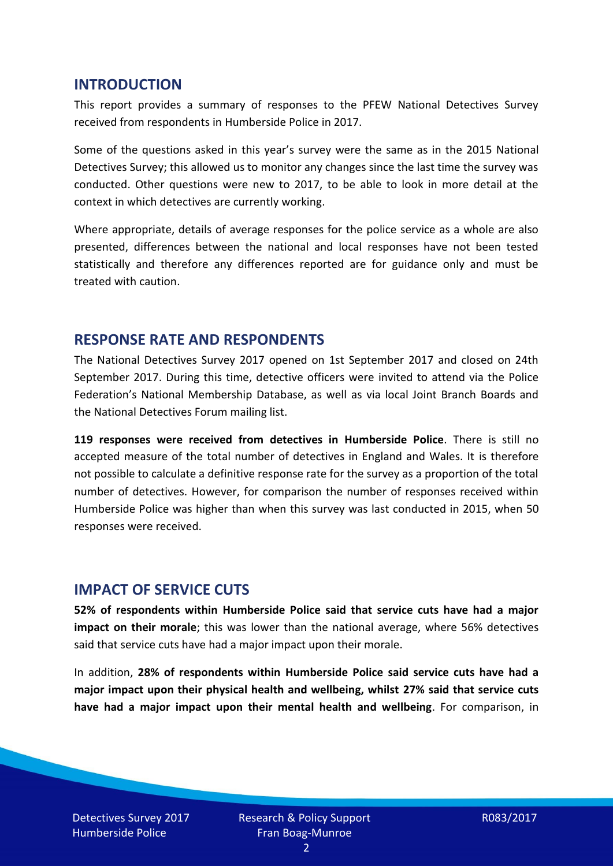#### **INTRODUCTION**

This report provides a summary of responses to the PFEW National Detectives Survey received from respondents in Humberside Police in 2017.

Some of the questions asked in this year's survey were the same as in the 2015 National Detectives Survey; this allowed us to monitor any changes since the last time the survey was conducted. Other questions were new to 2017, to be able to look in more detail at the context in which detectives are currently working.

Where appropriate, details of average responses for the police service as a whole are also presented, differences between the national and local responses have not been tested statistically and therefore any differences reported are for guidance only and must be treated with caution.

#### **RESPONSE RATE AND RESPONDENTS**

The National Detectives Survey 2017 opened on 1st September 2017 and closed on 24th September 2017. During this time, detective officers were invited to attend via the Police Federation's National Membership Database, as well as via local Joint Branch Boards and the National Detectives Forum mailing list.

**119 responses were received from detectives in Humberside Police**. There is still no accepted measure of the total number of detectives in England and Wales. It is therefore not possible to calculate a definitive response rate for the survey as a proportion of the total number of detectives. However, for comparison the number of responses received within Humberside Police was higher than when this survey was last conducted in 2015, when 50 responses were received.

## **IMPACT OF SERVICE CUTS**

**52% of respondents within Humberside Police said that service cuts have had a major impact on their morale**; this was lower than the national average, where 56% detectives said that service cuts have had a major impact upon their morale.

In addition, **28% of respondents within Humberside Police said service cuts have had a major impact upon their physical health and wellbeing, whilst 27% said that service cuts have had a major impact upon their mental health and wellbeing**. For comparison, in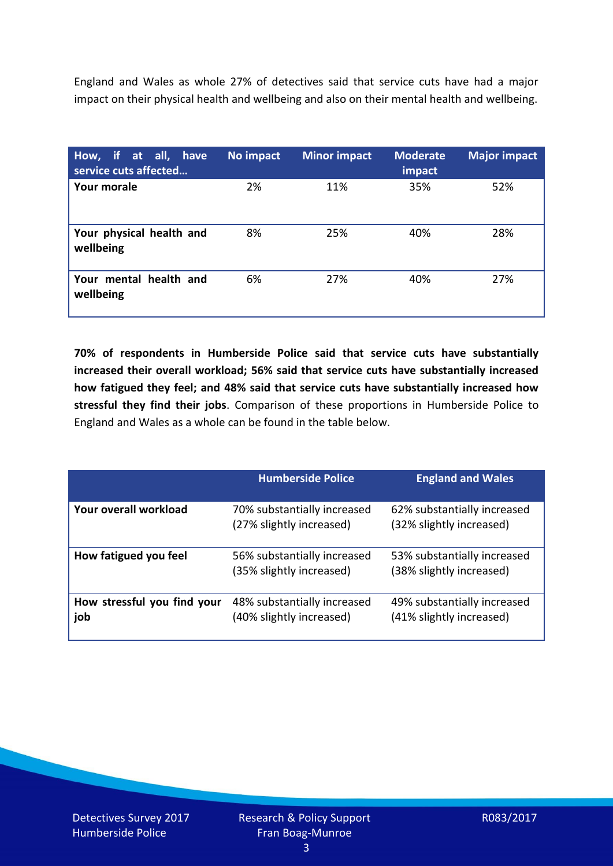England and Wales as whole 27% of detectives said that service cuts have had a major impact on their physical health and wellbeing and also on their mental health and wellbeing.

| How, if at all, have<br>service cuts affected | No impact | <b>Minor impact</b> | <b>Moderate</b><br>impact | <b>Major impact</b> |
|-----------------------------------------------|-----------|---------------------|---------------------------|---------------------|
| <b>Your morale</b>                            | 2%        | 11%                 | 35%                       | 52%                 |
| Your physical health and<br>wellbeing         | 8%        | 25%                 | 40%                       | 28%                 |
| Your mental health and<br>wellbeing           | 6%        | 27%                 | 40%                       | 27%                 |

**70% of respondents in Humberside Police said that service cuts have substantially increased their overall workload; 56% said that service cuts have substantially increased how fatigued they feel; and 48% said that service cuts have substantially increased how stressful they find their jobs**. Comparison of these proportions in Humberside Police to England and Wales as a whole can be found in the table below.

|                                    | <b>Humberside Police</b>                                | <b>England and Wales</b>                                |
|------------------------------------|---------------------------------------------------------|---------------------------------------------------------|
| Your overall workload              | 70% substantially increased<br>(27% slightly increased) | 62% substantially increased<br>(32% slightly increased) |
| How fatigued you feel              | 56% substantially increased<br>(35% slightly increased) | 53% substantially increased<br>(38% slightly increased) |
| How stressful you find your<br>job | 48% substantially increased<br>(40% slightly increased) | 49% substantially increased<br>(41% slightly increased) |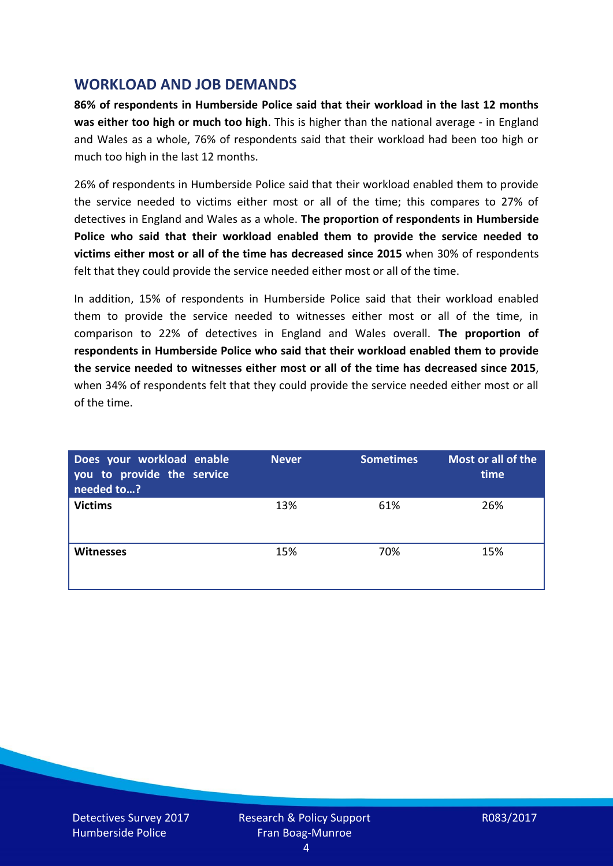#### **WORKLOAD AND JOB DEMANDS**

**86% of respondents in Humberside Police said that their workload in the last 12 months was either too high or much too high**. This is higher than the national average - in England and Wales as a whole, 76% of respondents said that their workload had been too high or much too high in the last 12 months.

26% of respondents in Humberside Police said that their workload enabled them to provide the service needed to victims either most or all of the time; this compares to 27% of detectives in England and Wales as a whole. **The proportion of respondents in Humberside Police who said that their workload enabled them to provide the service needed to victims either most or all of the time has decreased since 2015** when 30% of respondents felt that they could provide the service needed either most or all of the time.

In addition, 15% of respondents in Humberside Police said that their workload enabled them to provide the service needed to witnesses either most or all of the time, in comparison to 22% of detectives in England and Wales overall. **The proportion of respondents in Humberside Police who said that their workload enabled them to provide the service needed to witnesses either most or all of the time has decreased since 2015**, when 34% of respondents felt that they could provide the service needed either most or all of the time.

| Does your workload enable<br>you to provide the service<br>needed to? | <b>Never</b> | <b>Sometimes</b> | Most or all of the<br>time |
|-----------------------------------------------------------------------|--------------|------------------|----------------------------|
| <b>Victims</b>                                                        | 13%          | 61%              | 26%                        |
| <b>Witnesses</b>                                                      | 15%          | 70%              | 15%                        |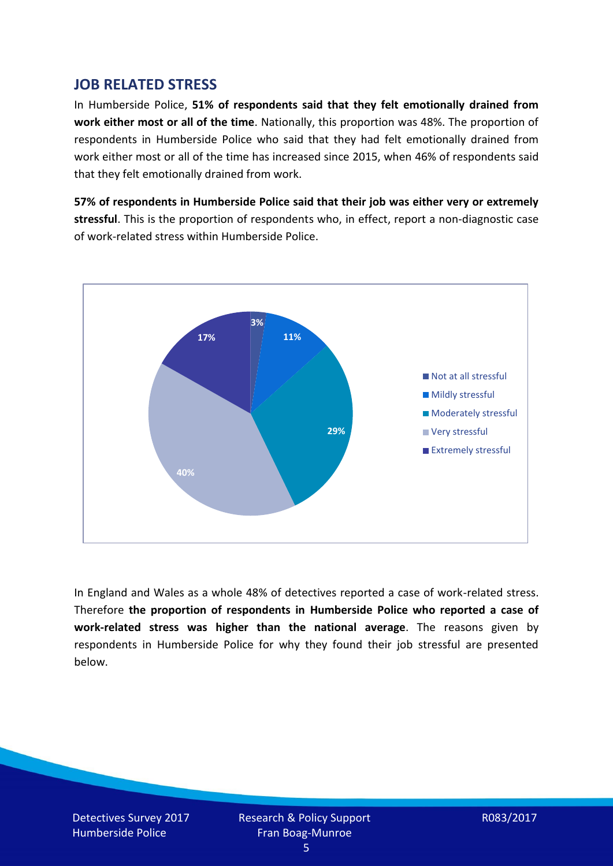## **JOB RELATED STRESS**

In Humberside Police, **51% of respondents said that they felt emotionally drained from work either most or all of the time**. Nationally, this proportion was 48%. The proportion of respondents in Humberside Police who said that they had felt emotionally drained from work either most or all of the time has increased since 2015, when 46% of respondents said that they felt emotionally drained from work.

**57% of respondents in Humberside Police said that their job was either very or extremely stressful**. This is the proportion of respondents who, in effect, report a non-diagnostic case of work-related stress within Humberside Police.



In England and Wales as a whole 48% of detectives reported a case of work-related stress. Therefore **the proportion of respondents in Humberside Police who reported a case of work-related stress was higher than the national average**. The reasons given by respondents in Humberside Police for why they found their job stressful are presented below.

Detectives Survey 2017 Humberside Police

Research & Policy Support Fran Boag-Munroe

R083/2017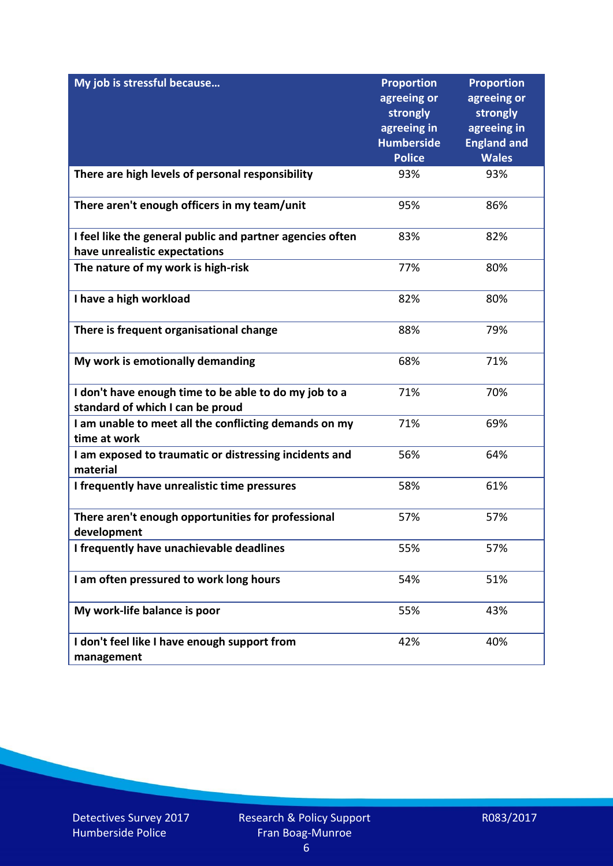| My job is stressful because                                                                | <b>Proportion</b><br>agreeing or<br>strongly<br>agreeing in<br><b>Humberside</b><br><b>Police</b> | <b>Proportion</b><br>agreeing or<br>strongly<br>agreeing in<br><b>England and</b><br><b>Wales</b> |
|--------------------------------------------------------------------------------------------|---------------------------------------------------------------------------------------------------|---------------------------------------------------------------------------------------------------|
| There are high levels of personal responsibility                                           | 93%                                                                                               | 93%                                                                                               |
| There aren't enough officers in my team/unit                                               | 95%                                                                                               | 86%                                                                                               |
| I feel like the general public and partner agencies often<br>have unrealistic expectations | 83%                                                                                               | 82%                                                                                               |
| The nature of my work is high-risk                                                         | 77%                                                                                               | 80%                                                                                               |
| I have a high workload                                                                     | 82%                                                                                               | 80%                                                                                               |
| There is frequent organisational change                                                    | 88%                                                                                               | 79%                                                                                               |
| My work is emotionally demanding                                                           | 68%                                                                                               | 71%                                                                                               |
| I don't have enough time to be able to do my job to a<br>standard of which I can be proud  | 71%                                                                                               | 70%                                                                                               |
| I am unable to meet all the conflicting demands on my<br>time at work                      | 71%                                                                                               | 69%                                                                                               |
| I am exposed to traumatic or distressing incidents and<br>material                         | 56%                                                                                               | 64%                                                                                               |
| I frequently have unrealistic time pressures                                               | 58%                                                                                               | 61%                                                                                               |
| There aren't enough opportunities for professional<br>development                          | 57%                                                                                               | 57%                                                                                               |
| I frequently have unachievable deadlines                                                   | 55%                                                                                               | 57%                                                                                               |
| I am often pressured to work long hours                                                    | 54%                                                                                               | 51%                                                                                               |
| My work-life balance is poor                                                               | 55%                                                                                               | 43%                                                                                               |
| I don't feel like I have enough support from<br>management                                 | 42%                                                                                               | 40%                                                                                               |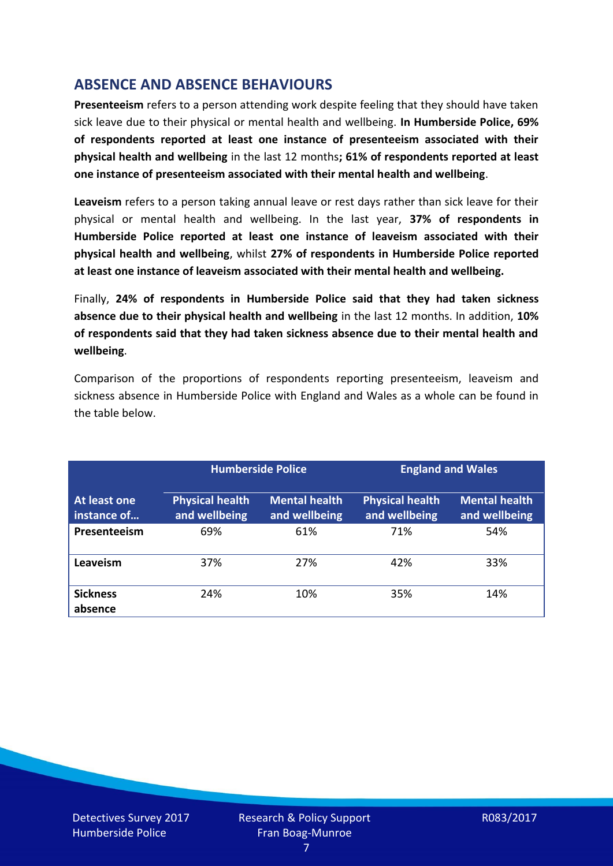# **ABSENCE AND ABSENCE BEHAVIOURS**

**Presenteeism** refers to a person attending work despite feeling that they should have taken sick leave due to their physical or mental health and wellbeing. **In Humberside Police, 69% of respondents reported at least one instance of presenteeism associated with their physical health and wellbeing** in the last 12 months**; 61% of respondents reported at least one instance of presenteeism associated with their mental health and wellbeing**.

**Leaveism** refers to a person taking annual leave or rest days rather than sick leave for their physical or mental health and wellbeing. In the last year, **37% of respondents in Humberside Police reported at least one instance of leaveism associated with their physical health and wellbeing**, whilst **27% of respondents in Humberside Police reported at least one instance of leaveism associated with their mental health and wellbeing.**

Finally, **24% of respondents in Humberside Police said that they had taken sickness absence due to their physical health and wellbeing** in the last 12 months. In addition, **10% of respondents said that they had taken sickness absence due to their mental health and wellbeing**.

Comparison of the proportions of respondents reporting presenteeism, leaveism and sickness absence in Humberside Police with England and Wales as a whole can be found in the table below.

|                             |                                         | <b>Humberside Police</b>              |                                         | <b>England and Wales</b>              |
|-----------------------------|-----------------------------------------|---------------------------------------|-----------------------------------------|---------------------------------------|
| At least one<br>instance of | <b>Physical health</b><br>and wellbeing | <b>Mental health</b><br>and wellbeing | <b>Physical health</b><br>and wellbeing | <b>Mental health</b><br>and wellbeing |
| Presenteeism                | 69%                                     | 61%                                   | 71%                                     | 54%                                   |
| Leaveism                    | 37%                                     | 27%                                   | 42%                                     | 33%                                   |
| <b>Sickness</b><br>absence  | 24%                                     | 10%                                   | 35%                                     | 14%                                   |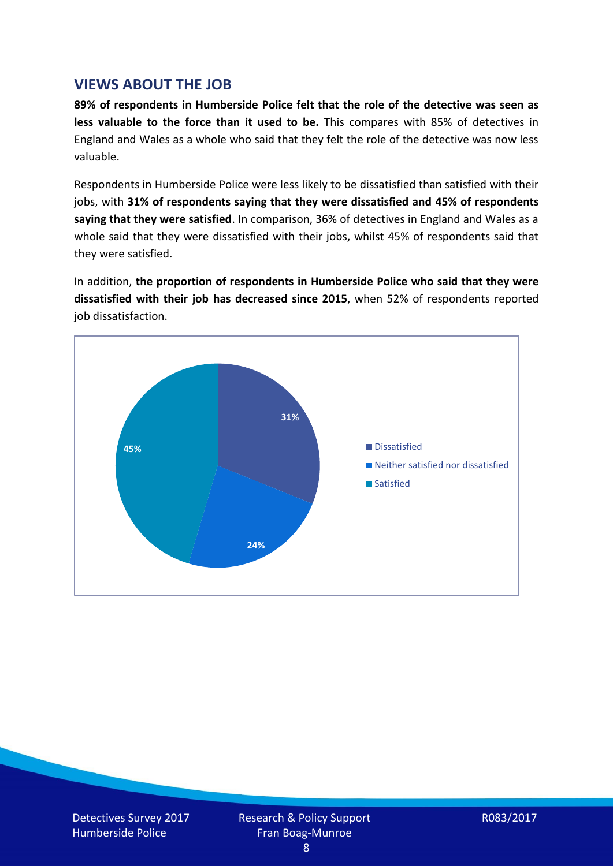#### **VIEWS ABOUT THE JOB**

**89% of respondents in Humberside Police felt that the role of the detective was seen as less valuable to the force than it used to be.** This compares with 85% of detectives in England and Wales as a whole who said that they felt the role of the detective was now less valuable.

Respondents in Humberside Police were less likely to be dissatisfied than satisfied with their jobs, with **31% of respondents saying that they were dissatisfied and 45% of respondents saying that they were satisfied**. In comparison, 36% of detectives in England and Wales as a whole said that they were dissatisfied with their jobs, whilst 45% of respondents said that they were satisfied.

In addition, **the proportion of respondents in Humberside Police who said that they were dissatisfied with their job has decreased since 2015**, when 52% of respondents reported job dissatisfaction.

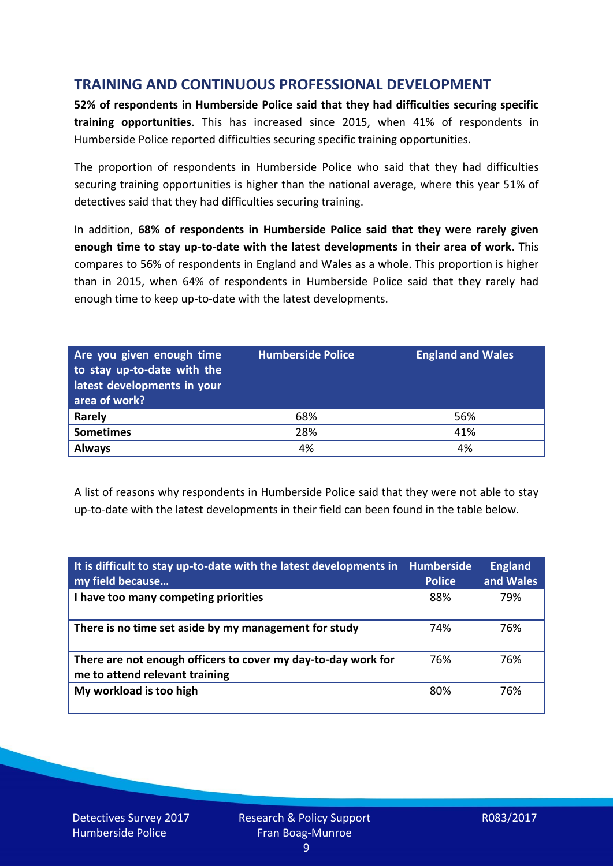# **TRAINING AND CONTINUOUS PROFESSIONAL DEVELOPMENT**

**52% of respondents in Humberside Police said that they had difficulties securing specific training opportunities**. This has increased since 2015, when 41% of respondents in Humberside Police reported difficulties securing specific training opportunities.

The proportion of respondents in Humberside Police who said that they had difficulties securing training opportunities is higher than the national average, where this year 51% of detectives said that they had difficulties securing training.

In addition, **68% of respondents in Humberside Police said that they were rarely given enough time to stay up-to-date with the latest developments in their area of work**. This compares to 56% of respondents in England and Wales as a whole. This proportion is higher than in 2015, when 64% of respondents in Humberside Police said that they rarely had enough time to keep up-to-date with the latest developments.

| Are you given enough time<br>to stay up-to-date with the<br>latest developments in your<br>area of work? | <b>Humberside Police</b> | <b>England and Wales</b> |
|----------------------------------------------------------------------------------------------------------|--------------------------|--------------------------|
| Rarely                                                                                                   | 68%                      | 56%                      |
| <b>Sometimes</b>                                                                                         | 28%                      | 41%                      |
| <b>Always</b>                                                                                            | 4%                       | 4%                       |

A list of reasons why respondents in Humberside Police said that they were not able to stay up-to-date with the latest developments in their field can been found in the table below.

| It is difficult to stay up-to-date with the latest developments in<br>my field because          | <b>Humberside</b><br><b>Police</b> | <b>England</b><br>and Wales |
|-------------------------------------------------------------------------------------------------|------------------------------------|-----------------------------|
| I have too many competing priorities                                                            | 88%                                | 79%                         |
| There is no time set aside by my management for study                                           | 74%                                | 76%                         |
| There are not enough officers to cover my day-to-day work for<br>me to attend relevant training | 76%                                | 76%                         |
| My workload is too high                                                                         | 80%                                | 76%                         |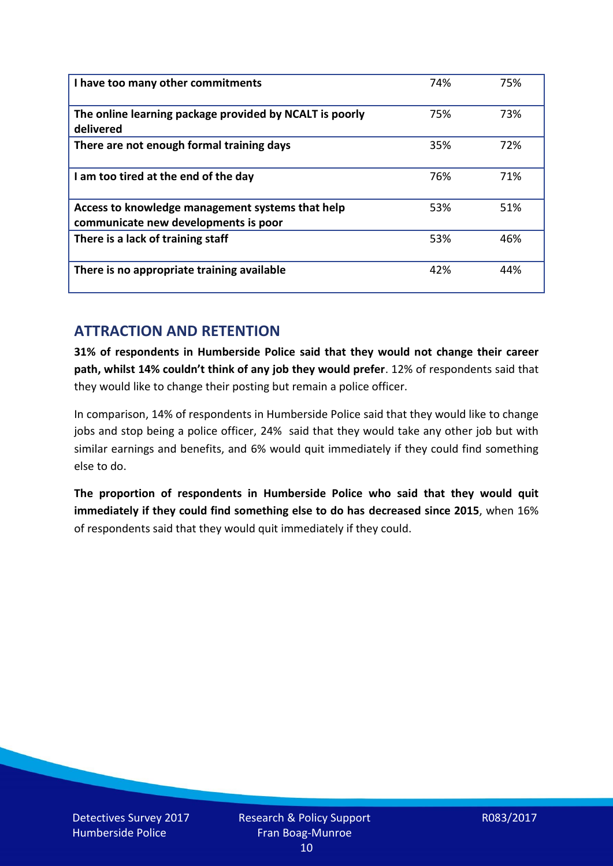| I have too many other commitments                                                        | 74% | 75% |
|------------------------------------------------------------------------------------------|-----|-----|
| The online learning package provided by NCALT is poorly<br>delivered                     | 75% | 73% |
| There are not enough formal training days                                                | 35% | 72% |
| I am too tired at the end of the day                                                     | 76% | 71% |
| Access to knowledge management systems that help<br>communicate new developments is poor | 53% | 51% |
| There is a lack of training staff                                                        | 53% | 46% |
| There is no appropriate training available                                               | 42% | 44% |

# **ATTRACTION AND RETENTION**

**31% of respondents in Humberside Police said that they would not change their career path, whilst 14% couldn't think of any job they would prefer**. 12% of respondents said that they would like to change their posting but remain a police officer.

In comparison, 14% of respondents in Humberside Police said that they would like to change jobs and stop being a police officer, 24% said that they would take any other job but with similar earnings and benefits, and 6% would quit immediately if they could find something else to do.

**The proportion of respondents in Humberside Police who said that they would quit immediately if they could find something else to do has decreased since 2015**, when 16% of respondents said that they would quit immediately if they could.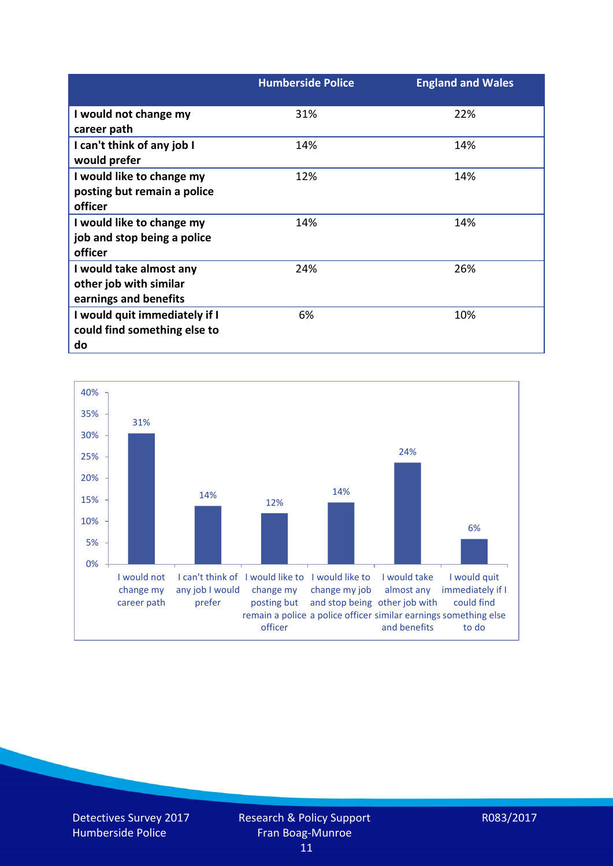|                               | <b>Humberside Police</b> | <b>England and Wales</b> |
|-------------------------------|--------------------------|--------------------------|
| I would not change my         | 31%                      | 22%                      |
| career path                   |                          |                          |
| I can't think of any job I    | 14%                      | 14%                      |
| would prefer                  |                          |                          |
| I would like to change my     | 12%                      | 14%                      |
| posting but remain a police   |                          |                          |
| officer                       |                          |                          |
| I would like to change my     | 14%                      | 14%                      |
| job and stop being a police   |                          |                          |
| officer                       |                          |                          |
| I would take almost any       | 24%                      | 26%                      |
| other job with similar        |                          |                          |
| earnings and benefits         |                          |                          |
| I would quit immediately if I | 6%                       | 10%                      |
| could find something else to  |                          |                          |
| do                            |                          |                          |